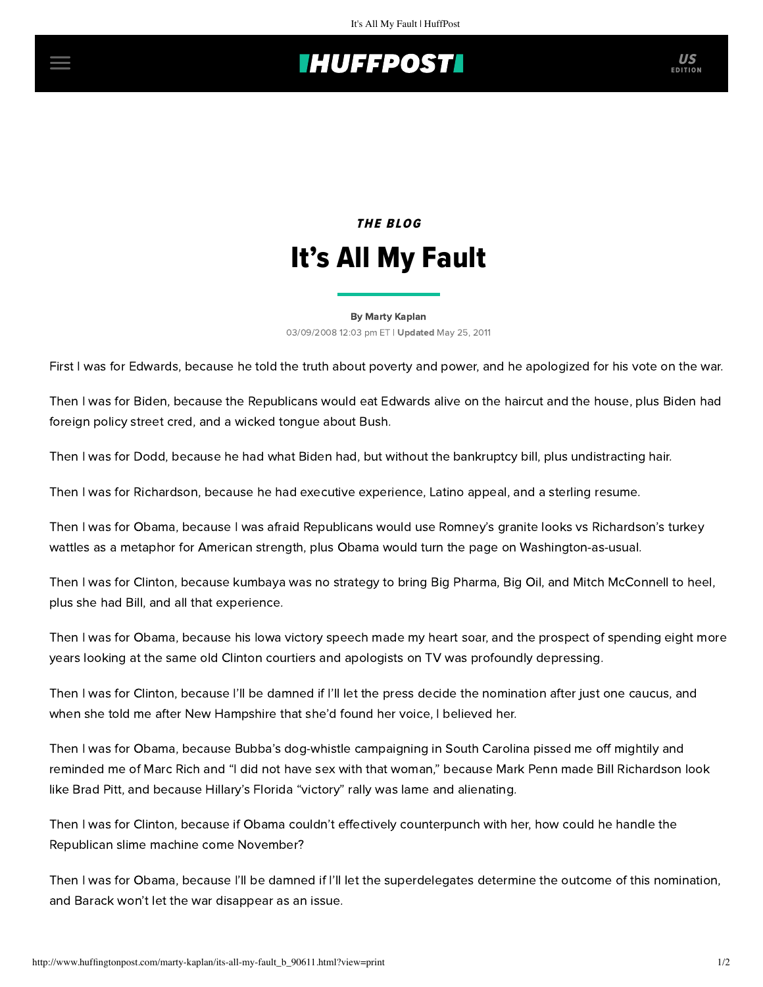## **INUFFPOST**

# THE BLOG It's All My Fault

#### [By Marty Kaplan](http://www.huffingtonpost.com/author/marty-kaplan)

03/09/2008 12:03 pm ET | Updated May 25, 2011

First I was for Edwards, because he told the truth about poverty and power, and he apologized for his vote on the war.

Then I was for Biden, because the Republicans would eat Edwards alive on the haircut and the house, plus Biden had foreign policy street cred, and a wicked tongue about Bush.

Then I was for Dodd, because he had what Biden had, but without the bankruptcy bill, plus undistracting hair.

Then I was for Richardson, because he had executive experience, Latino appeal, and a sterling resume.

Then I was for Obama, because I was afraid Republicans would use Romney's granite looks vs Richardson's turkey wattles as a metaphor for American strength, plus Obama would turn the page on Washington-as-usual.

Then I was for Clinton, because kumbaya was no strategy to bring Big Pharma, Big Oil, and Mitch McConnell to heel, plus she had Bill, and all that experience.

Then I was for Obama, because his Iowa victory speech made my heart soar, and the prospect of spending eight more years looking at the same old Clinton courtiers and apologists on TV was profoundly depressing.

Then I was for Clinton, because I'll be damned if I'll let the press decide the nomination after just one caucus, and when she told me after New Hampshire that she'd found her voice, I believed her.

Then I was for Obama, because Bubba's dog-whistle campaigning in South Carolina pissed me off mightily and reminded me of Marc Rich and "I did not have sex with that woman," because Mark Penn made Bill Richardson look like Brad Pitt, and because Hillary's Florida "victory" rally was lame and alienating.

Then I was for Clinton, because if Obama couldn't effectively counterpunch with her, how could he handle the Republican slime machine come November?

Then I was for Obama, because I'll be damned if I'll let the superdelegates determine the outcome of this nomination, and Barack won't let the war disappear as an issue.